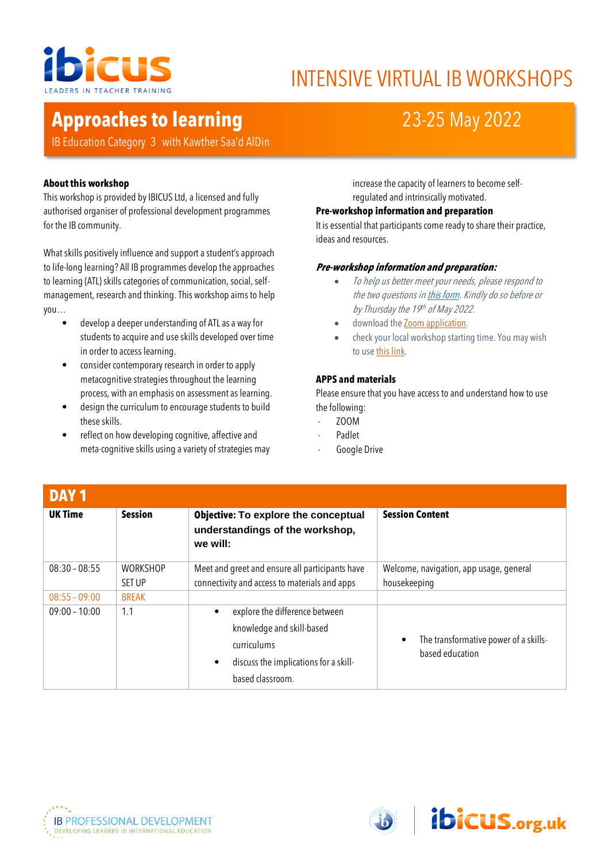

# INTENSIVE VIRTUAL IB WORKSHOPS

# **Approaches to learning** 23-25 May 2022

IB Education Category 3 with Kawther Saa'd AlDin

## **About this workshop**

This workshop is provided by IBICUS Ltd, a licensed and fully authorised organiser of professional development programmes for the IB community.

What skills positively influence and support a student's approach to life-long learning? All IB programmes develop the approaches to learning (ATL) skills categories of communication, social, selfmanagement, research and thinking. This workshop aims to help you…

- develop a deeper understanding of ATL as a way for students to acquire and use skills developed over time in order to access learning.
- consider contemporary research in order to apply metacognitive strategies throughout the learning process, with an emphasis on assessment as learning.
- design the curriculum to encourage students to build these skills.
- reflect on how developing cognitive, affective and meta-cognitive skills using a variety of strategies may

increase the capacity of learners to become selfregulated and intrinsically motivated.

#### **Pre-workshop information and preparation**

It is essential that participants come ready to share their practice, ideas and resources.

## **Pre-workshop information and preparation:**

- To help us better meet your needs, please respond to the two questions i[n this form.](https://forms.office.com/r/Vce2FW23ss) Kindly do so before or by Thursday the 19<sup>th</sup> of May 2022.
- download th[e Zoom application.](https://zoom.us/support/download)
- check your local workshop starting time. You may wish to us[e this link.](http://www.thetimezoneconverter.com/)

#### **APPS and materials**

Please ensure that you have access to and understand how to use the following:

- ZOOM
- **Padlet**
- Google Drive

| DAY <sub>1</sub> |                                  |                                                                                                  |                                                                       |
|------------------|----------------------------------|--------------------------------------------------------------------------------------------------|-----------------------------------------------------------------------|
| <b>UK Time</b>   | <b>Session</b>                   | <b>Objective: To explore the conceptual</b><br>understandings of the workshop,<br>we will:       | <b>Session Content</b>                                                |
| $08:30 - 08:55$  | <b>WORKSHOP</b><br><b>SET UP</b> | Meet and greet and ensure all participants have<br>connectivity and access to materials and apps | Welcome, navigation, app usage, general<br>housekeeping               |
| $08:55 - 09:00$  | <b>BREAK</b>                     |                                                                                                  |                                                                       |
| $09:00 - 10:00$  | 1.1                              | explore the difference between                                                                   |                                                                       |
|                  |                                  | knowledge and skill-based                                                                        |                                                                       |
|                  |                                  | curriculums                                                                                      | The transformative power of a skills-<br>$\bullet$<br>based education |
|                  |                                  | discuss the implications for a skill-                                                            |                                                                       |
|                  |                                  | based classroom.                                                                                 |                                                                       |



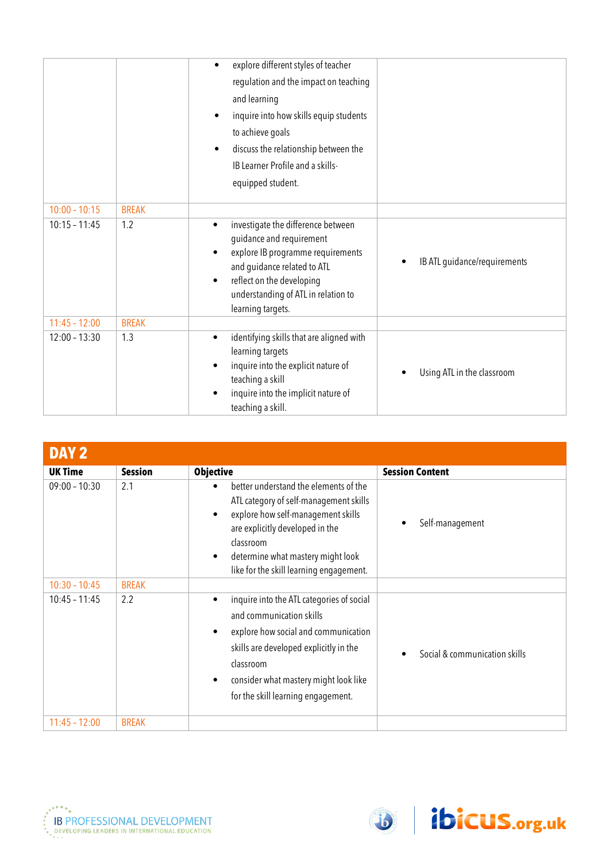|                 |              | explore different styles of teacher                                                                                                                                                                                                                   |                              |
|-----------------|--------------|-------------------------------------------------------------------------------------------------------------------------------------------------------------------------------------------------------------------------------------------------------|------------------------------|
|                 |              | regulation and the impact on teaching                                                                                                                                                                                                                 |                              |
|                 |              | and learning                                                                                                                                                                                                                                          |                              |
|                 |              | inquire into how skills equip students                                                                                                                                                                                                                |                              |
|                 |              | to achieve goals                                                                                                                                                                                                                                      |                              |
|                 |              | discuss the relationship between the                                                                                                                                                                                                                  |                              |
|                 |              | IB Learner Profile and a skills-                                                                                                                                                                                                                      |                              |
|                 |              | equipped student.                                                                                                                                                                                                                                     |                              |
|                 |              |                                                                                                                                                                                                                                                       |                              |
| $10:00 - 10:15$ | <b>BREAK</b> |                                                                                                                                                                                                                                                       |                              |
| $10:15 - 11:45$ | 1.2          | investigate the difference between<br>$\bullet$<br>guidance and requirement<br>explore IB programme requirements<br>and guidance related to ATL<br>reflect on the developing<br>$\bullet$<br>understanding of ATL in relation to<br>learning targets. | IB ATL guidance/requirements |
| $11:45 - 12:00$ | <b>BREAK</b> |                                                                                                                                                                                                                                                       |                              |
| $12:00 - 13:30$ | 1.3          | identifying skills that are aligned with<br>$\bullet$<br>learning targets<br>inquire into the explicit nature of<br>teaching a skill<br>inquire into the implicit nature of<br>teaching a skill.                                                      | Using ATL in the classroom   |

| DAY <sub>2</sub> |                |                                                                                                                                                                                                                                                                               |                               |
|------------------|----------------|-------------------------------------------------------------------------------------------------------------------------------------------------------------------------------------------------------------------------------------------------------------------------------|-------------------------------|
| <b>UK Time</b>   | <b>Session</b> | <b>Objective</b>                                                                                                                                                                                                                                                              | <b>Session Content</b>        |
| $09:00 - 10:30$  | 2.1            | better understand the elements of the<br>ATL category of self-management skills<br>explore how self-management skills<br>$\bullet$<br>are explicitly developed in the<br>classroom<br>determine what mastery might look<br>٠<br>like for the skill learning engagement.       | Self-management               |
| $10:30 - 10:45$  | <b>BREAK</b>   |                                                                                                                                                                                                                                                                               |                               |
| $10:45 - 11:45$  | 2.2            | inquire into the ATL categories of social<br>$\bullet$<br>and communication skills<br>explore how social and communication<br>$\bullet$<br>skills are developed explicitly in the<br>classroom<br>consider what mastery might look like<br>for the skill learning engagement. | Social & communication skills |
| $11:45 - 12:00$  | <b>BREAK</b>   |                                                                                                                                                                                                                                                                               |                               |